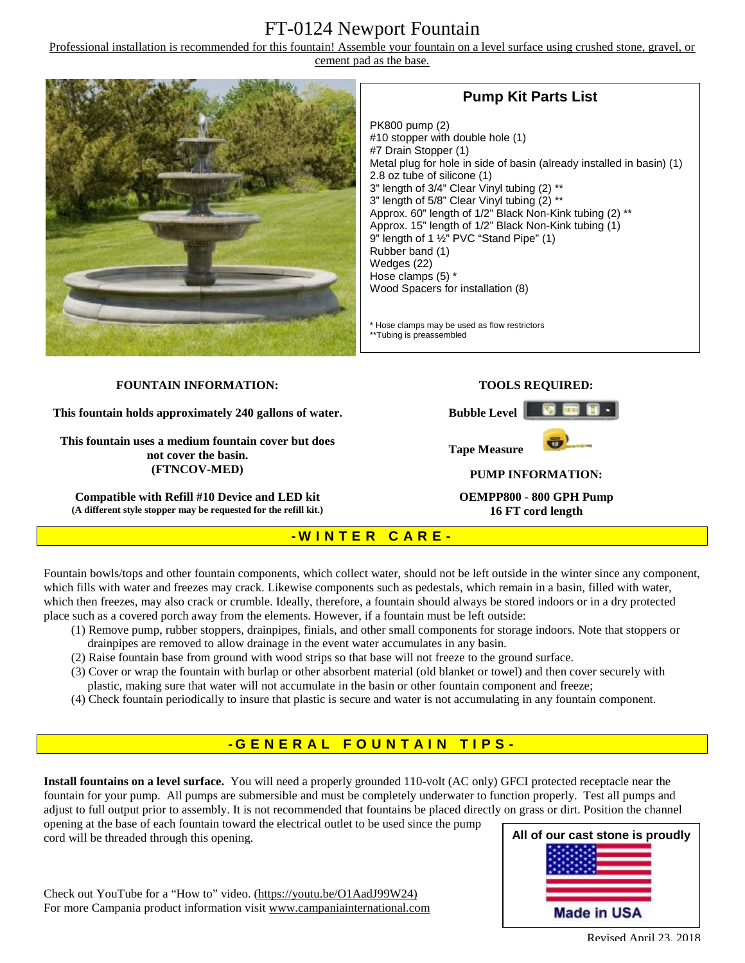## FT-0124 Newport Fountain

Professional installation is recommended for this fountain! Assemble your fountain on a level surface using crushed stone, gravel, or cement pad as the base.



## **Pump Kit Parts List**

PK800 pump (2) #10 stopper with double hole (1) #7 Drain Stopper (1) Metal plug for hole in side of basin (already installed in basin) (1) 2.8 oz tube of silicone (1) 3" length of 3/4" Clear Vinyl tubing (2) \*\* 3" length of 5/8" Clear Vinyl tubing (2) \*\* Approx. 60" length of 1/2" Black Non-Kink tubing (2) \*\* Approx. 15" length of 1/2" Black Non-Kink tubing (1) 9" length of 1 ½" PVC "Stand Pipe" (1) Rubber band (1) Wedges (22) Hose clamps (5) \* Wood Spacers for installation (8)

\* Hose clamps may be used as flow restrictors \*\*Tubing is preassembled

#### **FOUNTAIN INFORMATION:**

**This fountain holds approximately 240 gallons of water.** 

**This fountain uses a medium fountain cover but does not cover the basin. (FTNCOV-MED)** 

**Compatible with Refill #10 Device and LED kit (A different style stopper may be requested for the refill kit.)**

### **TOOLS REQUIRED:**

**Bubble Level** 



**PUMP INFORMATION:** 

**OEMPP800 - 800 GPH Pump 16 FT cord length**

### **- W I N T E R C A R E -**

Fountain bowls/tops and other fountain components, which collect water, should not be left outside in the winter since any component, which fills with water and freezes may crack. Likewise components such as pedestals, which remain in a basin, filled with water, which then freezes, may also crack or crumble. Ideally, therefore, a fountain should always be stored indoors or in a dry protected place such as a covered porch away from the elements. However, if a fountain must be left outside:

- (1) Remove pump, rubber stoppers, drainpipes, finials, and other small components for storage indoors. Note that stoppers or drainpipes are removed to allow drainage in the event water accumulates in any basin.
- (2) Raise fountain base from ground with wood strips so that base will not freeze to the ground surface.
- (3) Cover or wrap the fountain with burlap or other absorbent material (old blanket or towel) and then cover securely with plastic, making sure that water will not accumulate in the basin or other fountain component and freeze;
- (4) Check fountain periodically to insure that plastic is secure and water is not accumulating in any fountain component.

## **- G ENE R A L F O U N T A I N T I P S -**

**Install fountains on a level surface.** You will need a properly grounded 110-volt (AC only) GFCI protected receptacle near the fountain for your pump. All pumps are submersible and must be completely underwater to function properly. Test all pumps and adjust to full output prior to assembly. It is not recommended that fountains be placed directly on grass or dirt. Position the channel

opening at the base of each fountain toward the electrical outlet to be used since the pump cord will be threaded through this opening.

**All of our cast stone is proudly Made in USA** 

Check out YouTube for a "How to" video. [\(https://youtu.be/O1AadJ99W24\)](https://youtu.be/O1AadJ99W24)) For more Campania product information visit [www.campaniainternational.com](http://www.campaniainternational.com)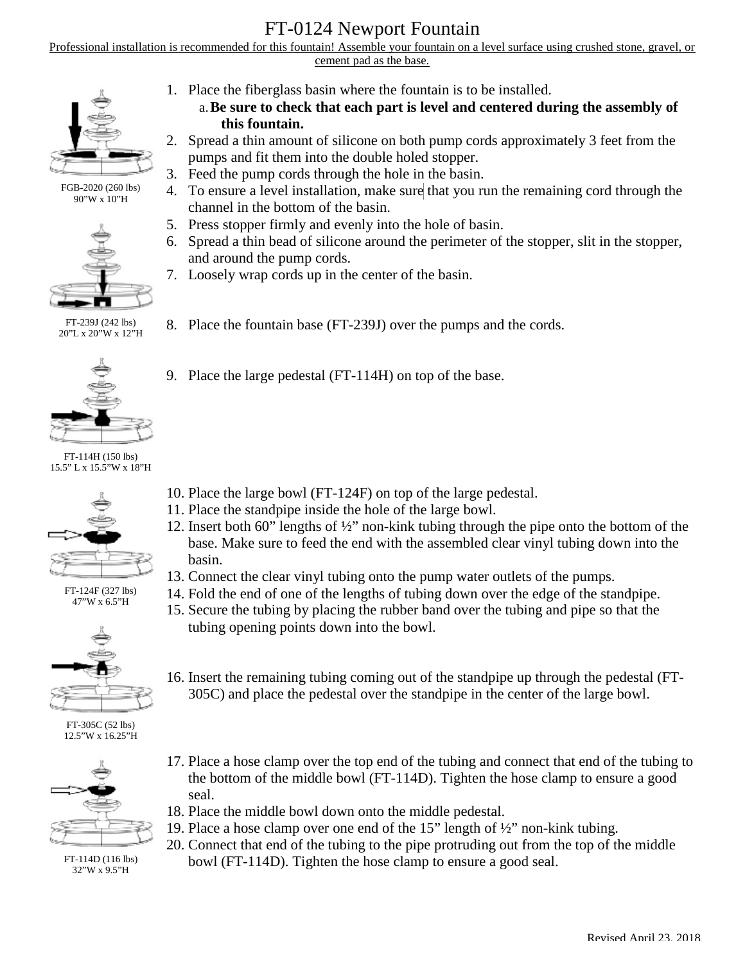# FT-0124 Newport Fountain

Professional installation is recommended for this fountain! Assemble your fountain on a level surface using crushed stone, gravel, or cement pad as the base.



FGB-2020 (260 lbs) 90"W x 10"H



FT-239J (242 lbs) 20"L x 20"W x 12"H



FT-114H (150 lbs) 15.5" L x 15.5"W x 18"H



FT-124F (327 lbs) 47"W x 6.5"H



FT-305C (52 lbs) 12.5"W x 16.25"H



FT-114D (116 lbs) 32"W x 9.5"H

- 1. Place the fiberglass basin where the fountain is to be installed.
	- a.**Be sure to check that each part is level and centered during the assembly of this fountain.**
- 2. Spread a thin amount of silicone on both pump cords approximately 3 feet from the pumps and fit them into the double holed stopper.
- 3. Feed the pump cords through the hole in the basin.
- 4. To ensure a level installation, make sure that you run the remaining cord through the channel in the bottom of the basin.
- 5. Press stopper firmly and evenly into the hole of basin.
- 6. Spread a thin bead of silicone around the perimeter of the stopper, slit in the stopper, and around the pump cords.
- 7. Loosely wrap cords up in the center of the basin.
- 8. Place the fountain base (FT-239J) over the pumps and the cords.
- 9. Place the large pedestal (FT-114H) on top of the base.

- 10. Place the large bowl (FT-124F) on top of the large pedestal.
- 11. Place the standpipe inside the hole of the large bowl.
- 12. Insert both 60" lengths of ½" non-kink tubing through the pipe onto the bottom of the base. Make sure to feed the end with the assembled clear vinyl tubing down into the basin.
- 13. Connect the clear vinyl tubing onto the pump water outlets of the pumps.
- 14. Fold the end of one of the lengths of tubing down over the edge of the standpipe.
- 15. Secure the tubing by placing the rubber band over the tubing and pipe so that the tubing opening points down into the bowl.
- 16. Insert the remaining tubing coming out of the standpipe up through the pedestal (FT-305C) and place the pedestal over the standpipe in the center of the large bowl.
- 17. Place a hose clamp over the top end of the tubing and connect that end of the tubing to the bottom of the middle bowl (FT-114D). Tighten the hose clamp to ensure a good seal.
- 18. Place the middle bowl down onto the middle pedestal.
- 19. Place a hose clamp over one end of the 15" length of ½" non-kink tubing.
- 20. Connect that end of the tubing to the pipe protruding out from the top of the middle bowl (FT-114D). Tighten the hose clamp to ensure a good seal.